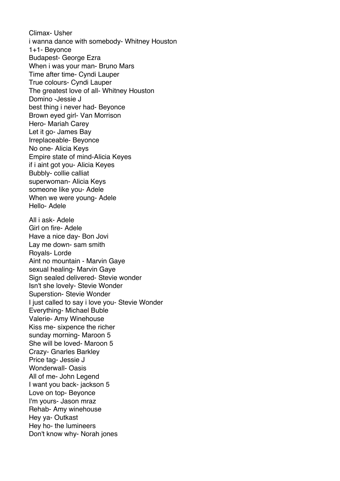Climax- Usher i wanna dance with somebody- Whitney Houston 1+1- Beyonce Budapest- George Ezra When i was your man- Bruno Mars Time after time- Cyndi Lauper True colours- Cyndi Lauper The greatest love of all- Whitney Houston Domino -Jessie J best thing i never had- Beyonce Brown eyed girl- Van Morrison Hero- Mariah Carey Let it go- James Bay Irreplaceable- Beyonce No one- Alicia Keys Empire state of mind-Alicia Keyes if i aint got you- Alicia Keyes Bubbly- collie calliat superwoman- Alicia Keys someone like you- Adele When we were young- Adele Hello- Adele All i ask- Adele Girl on fire- Adele Have a nice day- Bon Jovi Lay me down- sam smith Royals- Lorde Aint no mountain - Marvin Gaye sexual healing- Marvin Gaye Sign sealed delivered- Stevie wonder Isn't she lovely- Stevie Wonder Superstion- Stevie Wonder I just called to say i love you- Stevie Wonder Everything- Michael Buble Valerie- Amy Winehouse Kiss me- sixpence the richer sunday morning- Maroon 5 She will be loved- Maroon 5 Crazy- Gnarles Barkley Price tag- Jessie J Wonderwall- Oasis All of me- John Legend I want you back- jackson 5 Love on top- Beyonce I'm yours- Jason mraz Rehab- Amy winehouse Hey ya- Outkast Hey ho- the lumineers Don't know why- Norah jones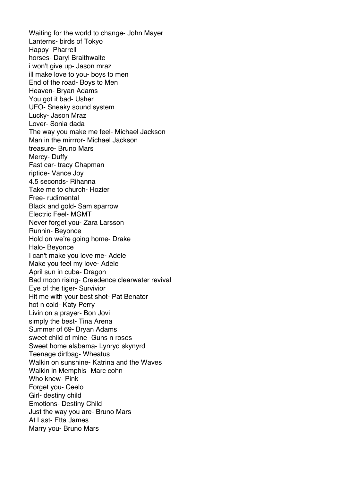Waiting for the world to change- John Mayer Lanterns- birds of Tokyo Happy- Pharrell horses- Daryl Braithwaite i won't give up- Jason mraz ill make love to you- boys to men End of the road- Boys to Men Heaven- Bryan Adams You got it bad- Usher UFO- Sneaky sound system Lucky- Jason Mraz Lover- Sonia dada The way you make me feel- Michael Jackson Man in the mirrror- Michael Jackson treasure- Bruno Mars Mercy- Duffy Fast car- tracy Chapman riptide- Vance Joy 4.5 seconds- Rihanna Take me to church- Hozier Free- rudimental Black and gold- Sam sparrow Electric Feel- MGMT Never forget you- Zara Larsson Runnin- Beyonce Hold on we're going home- Drake Halo- Beyonce I can't make you love me- Adele Make you feel my love- Adele April sun in cuba- Dragon Bad moon rising- Creedence clearwater revival Eye of the tiger- Survivior Hit me with your best shot- Pat Benator hot n cold- Katy Perry Livin on a prayer- Bon Jovi simply the best- Tina Arena Summer of 69- Bryan Adams sweet child of mine- Guns n roses Sweet home alabama- Lynryd skynyrd Teenage dirtbag- Wheatus Walkin on sunshine- Katrina and the Waves Walkin in Memphis- Marc cohn Who knew- Pink Forget you- Ceelo Girl- destiny child Emotions- Destiny Child Just the way you are- Bruno Mars At Last- Etta James Marry you- Bruno Mars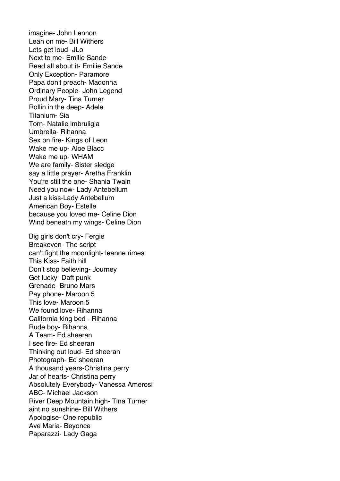imagine- John Lennon Lean on me- Bill Withers Lets get loud- JLo Next to me- Emilie Sande Read all about it- Emilie Sande Only Exception- Paramore Papa don't preach- Madonna Ordinary People- John Legend Proud Mary- Tina Turner Rollin in the deep- Adele Titanium- Sia Torn- Natalie imbruligia Umbrella- Rihanna Sex on fire- Kings of Leon Wake me up- Aloe Blacc Wake me up- WHAM We are family- Sister sledge say a little prayer- Aretha Franklin You're still the one- Shania Twain Need you now- Lady Antebellum Just a kiss-Lady Antebellum American Boy- Estelle because you loved me- Celine Dion Wind beneath my wings- Celine Dion Big girls don't cry- Fergie Breakeven- The script can't fight the moonlight- leanne rimes This Kiss- Faith hill Don't stop believing- Journey Get lucky- Daft punk Grenade- Bruno Mars Pay phone- Maroon 5 This love- Maroon 5 We found love- Rihanna California king bed - Rihanna Rude boy- Rihanna A Team- Ed sheeran I see fire- Ed sheeran Thinking out loud- Ed sheeran Photograph- Ed sheeran A thousand years-Christina perry Jar of hearts- Christina perry Absolutely Everybody- Vanessa Amerosi ABC- Michael Jackson River Deep Mountain high- Tina Turner aint no sunshine- Bill Withers Apologise- One republic Ave Maria- Beyonce Paparazzi- Lady Gaga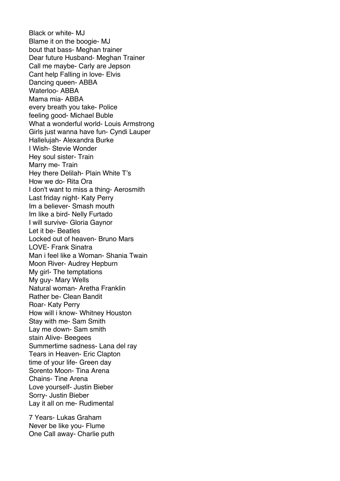Black or white- MJ Blame it on the boogie- MJ bout that bass- Meghan trainer Dear future Husband- Meghan Trainer Call me maybe- Carly are Jepson Cant help Falling in love- Elvis Dancing queen- ABBA Waterloo- ABBA Mama mia- ABBA every breath you take- Police feeling good- Michael Buble What a wonderful world- Louis Armstrong Girls just wanna have fun- Cyndi Lauper Hallelujah- Alexandra Burke I Wish- Stevie Wonder Hey soul sister- Train Marry me- Train Hey there Delilah- Plain White T's How we do- Rita Ora I don't want to miss a thing- Aerosmith Last friday night- Katy Perry Im a believer- Smash mouth Im like a bird- Nelly Furtado I will survive- Gloria Gaynor Let it be- Beatles Locked out of heaven- Bruno Mars LOVE- Frank Sinatra Man i feel like a Woman- Shania Twain Moon River- Audrey Hepburn My girl- The temptations My guy- Mary Wells Natural woman- Aretha Franklin Rather be- Clean Bandit Roar- Katy Perry How will i know- Whitney Houston Stay with me- Sam Smith Lay me down- Sam smith stain Alive- Beegees Summertime sadness- Lana del ray Tears in Heaven- Eric Clapton time of your life- Green day Sorento Moon- Tina Arena Chains- Tine Arena Love yourself- Justin Bieber Sorry- Justin Bieber Lay it all on me- Rudimental

7 Years- Lukas Graham Never be like you- Flume One Call away- Charlie puth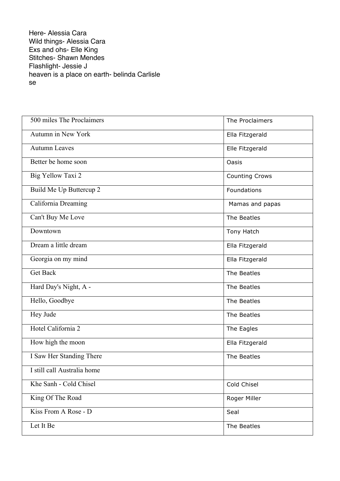Here- Alessia Cara Wild things- Alessia Cara Exs and ohs- Elle King Stitches- Shawn Mendes Flashlight- Jessie J heaven is a place on earth- belinda Carlisle se

| 500 miles The Proclaimers   | The Proclaimers       |
|-----------------------------|-----------------------|
| Autumn in New York          | Ella Fitzgerald       |
| <b>Autumn Leaves</b>        | Elle Fitzgerald       |
| Better be home soon         | Oasis                 |
| Big Yellow Taxi 2           | <b>Counting Crows</b> |
| Build Me Up Buttercup 2     | Foundations           |
| California Dreaming         | Mamas and papas       |
| Can't Buy Me Love           | The Beatles           |
| Downtown                    | Tony Hatch            |
| Dream a little dream        | Ella Fitzgerald       |
| Georgia on my mind          | Ella Fitzgerald       |
| <b>Get Back</b>             | The Beatles           |
| Hard Day's Night, A -       | The Beatles           |
| Hello, Goodbye              | The Beatles           |
| Hey Jude                    | The Beatles           |
| Hotel California 2          | The Eagles            |
| How high the moon           | Ella Fitzgerald       |
| I Saw Her Standing There    | The Beatles           |
| I still call Australia home |                       |
| Khe Sanh - Cold Chisel      | Cold Chisel           |
| King Of The Road            | Roger Miller          |
| Kiss From A Rose - D        | Seal                  |
| Let It Be                   | The Beatles           |
|                             |                       |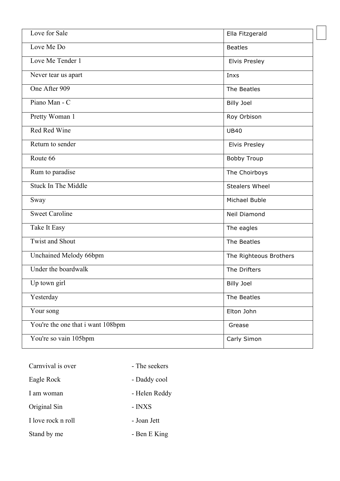| Love for Sale                     | Ella Fitzgerald        |
|-----------------------------------|------------------------|
| Love Me Do                        | <b>Beatles</b>         |
| Love Me Tender 1                  | <b>Elvis Presley</b>   |
| Never tear us apart               | Inxs                   |
| One After 909                     | The Beatles            |
| Piano Man - C                     | <b>Billy Joel</b>      |
| Pretty Woman 1                    | Roy Orbison            |
| Red Red Wine                      | <b>UB40</b>            |
| Return to sender                  | <b>Elvis Presley</b>   |
| Route 66                          | <b>Bobby Troup</b>     |
| Rum to paradise                   | The Choirboys          |
| <b>Stuck In The Middle</b>        | <b>Stealers Wheel</b>  |
| Sway                              | Michael Buble          |
| Sweet Caroline                    | Neil Diamond           |
| Take It Easy                      | The eagles             |
| <b>Twist and Shout</b>            | The Beatles            |
| Unchained Melody 66bpm            | The Righteous Brothers |
| Under the boardwalk               | The Drifters           |
| Up town girl                      | <b>Billy Joel</b>      |
| Yesterday                         | The Beatles            |
| Your song                         | Elton John             |
| You're the one that i want 108bpm | Grease                 |
| You're so vain 105bpm             | Carly Simon            |

| Carnvival is over  | - The seekers |
|--------------------|---------------|
| Eagle Rock         | - Daddy cool  |
| I am woman         | - Helen Reddy |
| Original Sin       | - INXS        |
| I love rock n roll | - Joan Jett   |
| Stand by me        | - Ben E King  |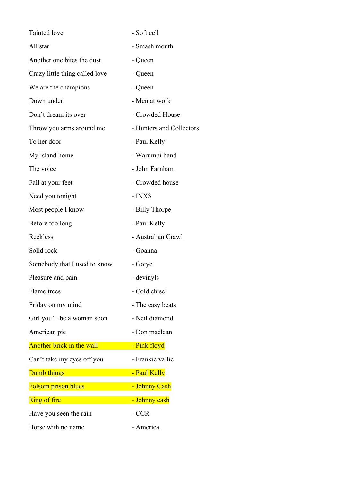| Tainted love                   | - Soft cell              |
|--------------------------------|--------------------------|
| All star                       | - Smash mouth            |
| Another one bites the dust     | - Queen                  |
| Crazy little thing called love | - Queen                  |
| We are the champions           | - Queen                  |
| Down under                     | - Men at work            |
| Don't dream its over           | - Crowded House          |
| Throw you arms around me       | - Hunters and Collectors |
| To her door                    | - Paul Kelly             |
| My island home                 | - Warumpi band           |
| The voice                      | - John Farnham           |
| Fall at your feet              | - Crowded house          |
| Need you tonight               | - INXS                   |
| Most people I know             | - Billy Thorpe           |
| Before too long                | - Paul Kelly             |
| Reckless                       | - Australian Crawl       |
| Solid rock                     | - Goanna                 |
| Somebody that I used to know   | - Gotye                  |
| Pleasure and pain              | - devinyls               |
| Flame trees                    | - Cold chisel            |
| Friday on my mind              | - The easy beats         |
| Girl you'll be a woman soon    | - Neil diamond           |
| American pie                   | - Don maclean            |
| Another brick in the wall      | - Pink floyd             |
| Can't take my eyes off you     | - Frankie vallie         |
| Dumb things                    | - Paul Kelly             |
| <b>Folsom prison blues</b>     | - Johnny Cash            |
| <b>Ring of fire</b>            | - Johnny cash            |
| Have you seen the rain         | - CCR                    |
| Horse with no name             | - America                |